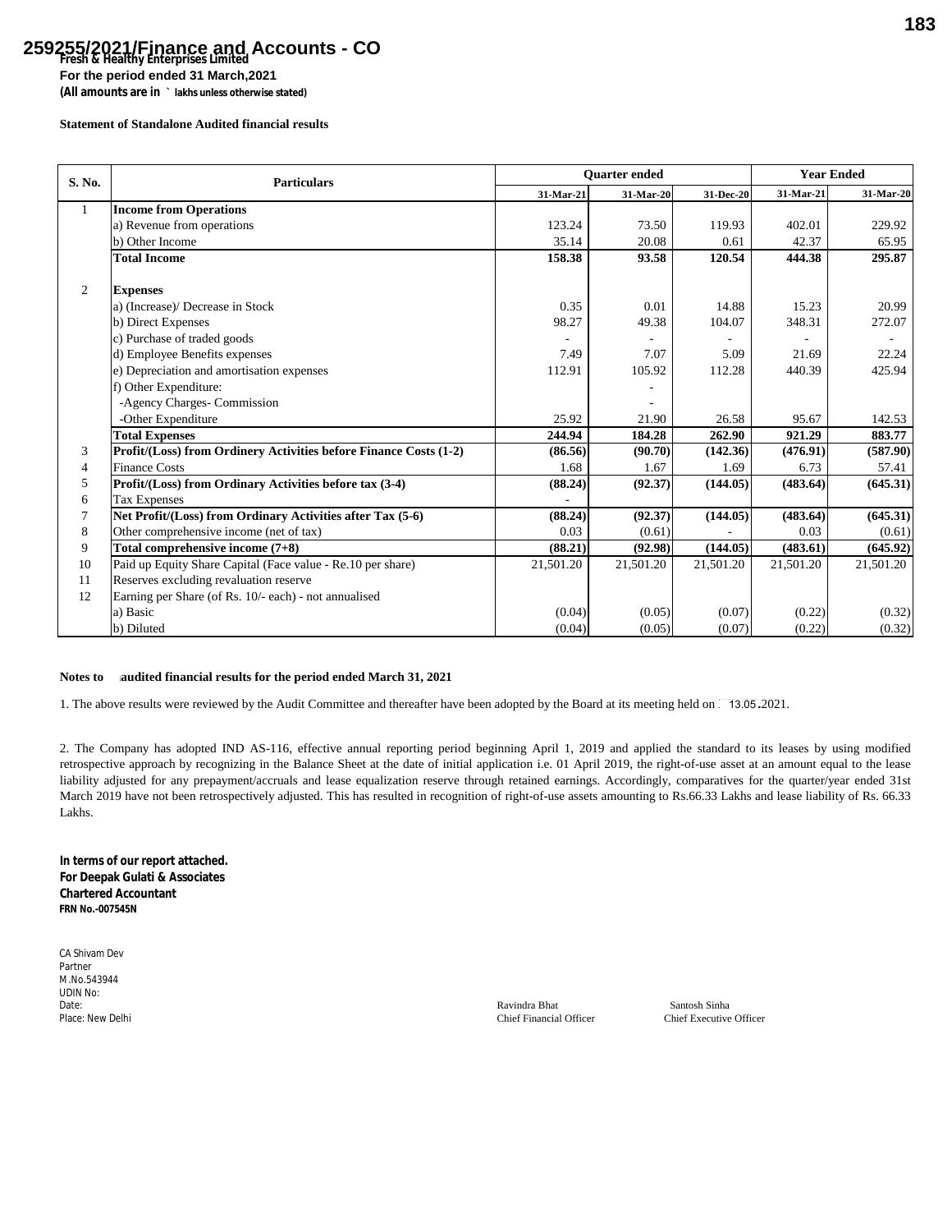## **Fresh & Healthy Enterprises Limited 259255/2021/Finance and Accounts - CO**

**For the period ended 31 March,2021**

**(All amounts are in ` lakhs unless otherwise stated)**

## **Statement of Standalone Audited financial results**

| S. No.       | <b>Particulars</b>                                                | <b>Ouarter</b> ended |           |           | <b>Year Ended</b> |           |
|--------------|-------------------------------------------------------------------|----------------------|-----------|-----------|-------------------|-----------|
|              |                                                                   | 31-Mar-21            | 31-Mar-20 | 31-Dec-20 | 31-Mar-21         | 31-Mar-20 |
| $\mathbf{1}$ | <b>Income from Operations</b>                                     |                      |           |           |                   |           |
|              | a) Revenue from operations                                        | 123.24               | 73.50     | 119.93    | 402.01            | 229.92    |
|              | b) Other Income                                                   | 35.14                | 20.08     | 0.61      | 42.37             | 65.95     |
|              | <b>Total Income</b>                                               | 158.38               | 93.58     | 120.54    | 444.38            | 295.87    |
| 2            | <b>Expenses</b>                                                   |                      |           |           |                   |           |
|              | a) (Increase)/ Decrease in Stock                                  | 0.35                 | 0.01      | 14.88     | 15.23             | 20.99     |
|              | b) Direct Expenses                                                | 98.27                | 49.38     | 104.07    | 348.31            | 272.07    |
|              | c) Purchase of traded goods                                       |                      |           |           |                   |           |
|              | d) Employee Benefits expenses                                     | 7.49                 | 7.07      | 5.09      | 21.69             | 22.24     |
|              | e) Depreciation and amortisation expenses                         | 112.91               | 105.92    | 112.28    | 440.39            | 425.94    |
|              | f) Other Expenditure:                                             |                      |           |           |                   |           |
|              | -Agency Charges- Commission                                       |                      |           |           |                   |           |
|              | -Other Expenditure                                                | 25.92                | 21.90     | 26.58     | 95.67             | 142.53    |
|              | <b>Total Expenses</b>                                             | 244.94               | 184.28    | 262.90    | 921.29            | 883.77    |
| 3            | Profit/(Loss) from Ordinery Activities before Finance Costs (1-2) | (86.56)              | (90.70)   | (142.36)  | (476.91)          | (587.90)  |
| 4            | <b>Finance Costs</b>                                              | 1.68                 | 1.67      | 1.69      | 6.73              | 57.41     |
| 5            | Profit/(Loss) from Ordinary Activities before tax (3-4)           | (88.24)              | (92.37)   | (144.05)  | (483.64)          | (645.31)  |
| 6            | <b>Tax Expenses</b>                                               |                      |           |           |                   |           |
|              | Net Profit/(Loss) from Ordinary Activities after Tax (5-6)        | (88.24)              | (92.37)   | (144.05)  | (483.64)          | (645.31)  |
| 8            | Other comprehensive income (net of tax)                           | 0.03                 | (0.61)    |           | 0.03              | (0.61)    |
| 9            | Total comprehensive income $(7+8)$                                | (88.21)              | (92.98)   | (144.05)  | (483.61)          | (645.92)  |
| 10           | Paid up Equity Share Capital (Face value - Re.10 per share)       | 21,501.20            | 21,501.20 | 21,501.20 | 21,501.20         | 21,501.20 |
| 11           | Reserves excluding revaluation reserve                            |                      |           |           |                   |           |
| 12           | Earning per Share (of Rs. 10/- each) - not annualised             |                      |           |           |                   |           |
|              | a) Basic                                                          | (0.04)               | (0.05)    | (0.07)    | (0.22)            | (0.32)    |
|              | b) Diluted                                                        | (0.04)               | (0.05)    | (0.07)    | (0.22)            | (0.32)    |

## Notes to audited financial results for the period ended March 31, 2021

1. The above results were reviewed by the Audit Committee and thereafter have been adopted by the Board at its meeting held on  $\,$  13.05 .2021.

2. The Company has adopted IND AS-116, effective annual reporting period beginning April 1, 2019 and applied the standard to its leases by using modified retrospective approach by recognizing in the Balance Sheet at the date of initial application i.e. 01 April 2019, the right-of-use asset at an amount equal to the lease liability adjusted for any prepayment/accruals and lease equalization reserve through retained earnings. Accordingly, comparatives for the quarter/year ended 31st March 2019 have not been retrospectively adjusted. This has resulted in recognition of right-of-use assets amounting to Rs.66.33 Lakhs and lease liability of Rs. 66.33 Lakhs.

**In terms of our report attached. For Deepak Gulati & Associates Chartered Accountant FRN No.-007545N**

CA Shivam Dev Partner M.No.543944 UDIN No:<br>Date:

Date: Ravindra Bhat Santosh Sinha Place: New Delhi Chief Executive Officer Chief Executive Officer Chief Executive Officer